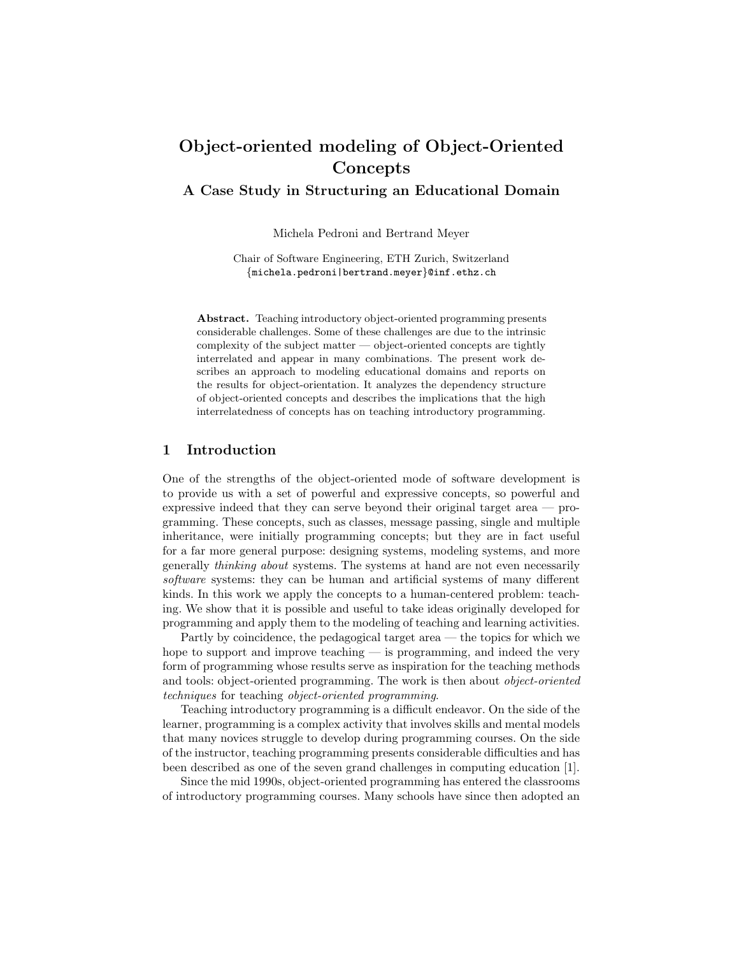# Object-oriented modeling of Object-Oriented Concepts

A Case Study in Structuring an Educational Domain

Michela Pedroni and Bertrand Meyer

Chair of Software Engineering, ETH Zurich, Switzerland {michela.pedroni|bertrand.meyer}@inf.ethz.ch

Abstract. Teaching introductory object-oriented programming presents considerable challenges. Some of these challenges are due to the intrinsic complexity of the subject matter — object-oriented concepts are tightly interrelated and appear in many combinations. The present work describes an approach to modeling educational domains and reports on the results for object-orientation. It analyzes the dependency structure of object-oriented concepts and describes the implications that the high interrelatedness of concepts has on teaching introductory programming.

#### 1 Introduction

One of the strengths of the object-oriented mode of software development is to provide us with a set of powerful and expressive concepts, so powerful and expressive indeed that they can serve beyond their original target area — programming. These concepts, such as classes, message passing, single and multiple inheritance, were initially programming concepts; but they are in fact useful for a far more general purpose: designing systems, modeling systems, and more generally thinking about systems. The systems at hand are not even necessarily software systems: they can be human and artificial systems of many different kinds. In this work we apply the concepts to a human-centered problem: teaching. We show that it is possible and useful to take ideas originally developed for programming and apply them to the modeling of teaching and learning activities.

Partly by coincidence, the pedagogical target area — the topics for which we hope to support and improve teaching — is programming, and indeed the very form of programming whose results serve as inspiration for the teaching methods and tools: object-oriented programming. The work is then about object-oriented techniques for teaching object-oriented programming.

Teaching introductory programming is a difficult endeavor. On the side of the learner, programming is a complex activity that involves skills and mental models that many novices struggle to develop during programming courses. On the side of the instructor, teaching programming presents considerable difficulties and has been described as one of the seven grand challenges in computing education [1].

Since the mid 1990s, object-oriented programming has entered the classrooms of introductory programming courses. Many schools have since then adopted an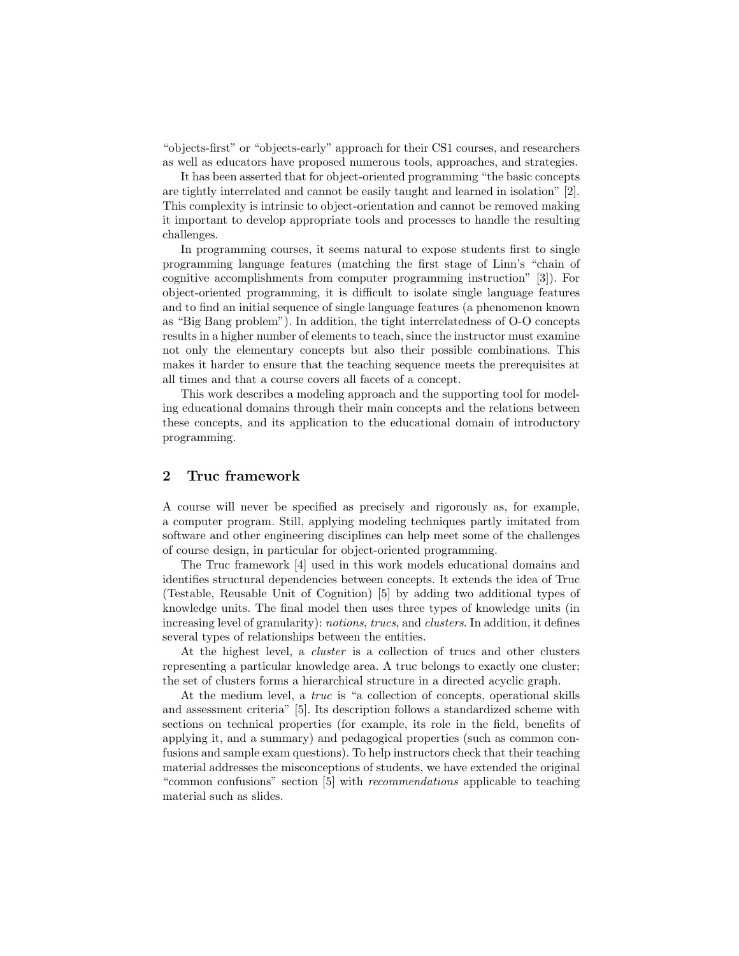"objects-first" or "objects-early" approach for their CS1 courses, and researchers as well as educators have proposed numerous tools, approaches, and strategies.

It has been asserted that for object-oriented programming "the basic concepts are tightly interrelated and cannot be easily taught and learned in isolation" [2]. This complexity is intrinsic to object-orientation and cannot be removed making it important to develop appropriate tools and processes to handle the resulting challenges.

In programming courses, it seems natural to expose students first to single programming language features (matching the first stage of Linn's "chain of cognitive accomplishments from computer programming instruction" [3]). For object-oriented programming, it is difficult to isolate single language features and to find an initial sequence of single language features (a phenomenon known as "Big Bang problem"). In addition, the tight interrelatedness of O-O concepts results in a higher number of elements to teach, since the instructor must examine not only the elementary concepts but also their possible combinations. This makes it harder to ensure that the teaching sequence meets the prerequisites at all times and that a course covers all facets of a concept.

This work describes a modeling approach and the supporting tool for modeling educational domains through their main concepts and the relations between these concepts, and its application to the educational domain of introductory programming.

#### 2 Truc framework

A course will never be specified as precisely and rigorously as, for example, a computer program. Still, applying modeling techniques partly imitated from software and other engineering disciplines can help meet some of the challenges of course design, in particular for object-oriented programming.

The Truc framework [4] used in this work models educational domains and identifies structural dependencies between concepts. It extends the idea of Truc (Testable, Reusable Unit of Cognition) [5] by adding two additional types of knowledge units. The final model then uses three types of knowledge units (in increasing level of granularity): *notions*, *trucs*, and *clusters*. In addition, it defines several types of relationships between the entities.

At the highest level, a *cluster* is a collection of trucs and other clusters representing a particular knowledge area. A truc belongs to exactly one cluster; the set of clusters forms a hierarchical structure in a directed acyclic graph.

At the medium level, a *truc* is "a collection of concepts, operational skills and assessment criteria" [5]. Its description follows a standardized scheme with sections on technical properties (for example, its role in the field, benefits of applying it, and a summary) and pedagogical properties (such as common confusions and sample exam questions). To help instructors check that their teaching material addresses the misconceptions of students, we have extended the original "common confusions" section [5] with recommendations applicable to teaching material such as slides.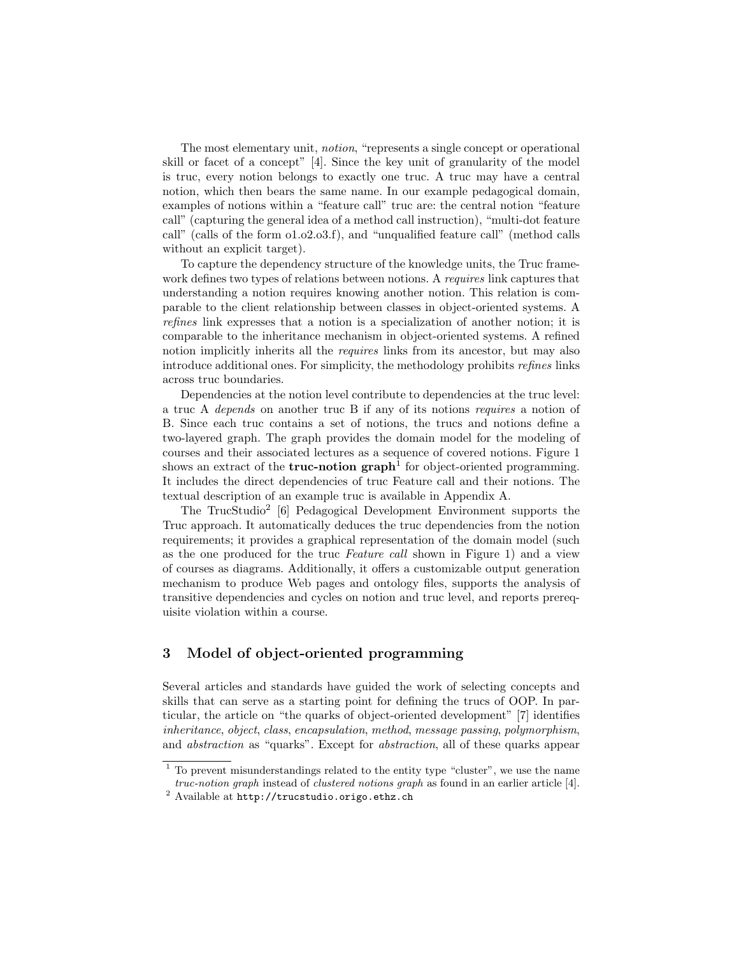The most elementary unit, notion, "represents a single concept or operational skill or facet of a concept" [4]. Since the key unit of granularity of the model is truc, every notion belongs to exactly one truc. A truc may have a central notion, which then bears the same name. In our example pedagogical domain, examples of notions within a "feature call" truc are: the central notion "feature call" (capturing the general idea of a method call instruction), "multi-dot feature call" (calls of the form o1.o2.o3.f), and "unqualified feature call" (method calls without an explicit target).

To capture the dependency structure of the knowledge units, the Truc framework defines two types of relations between notions. A requires link captures that understanding a notion requires knowing another notion. This relation is comparable to the client relationship between classes in object-oriented systems. A refines link expresses that a notion is a specialization of another notion; it is comparable to the inheritance mechanism in object-oriented systems. A refined notion implicitly inherits all the *requires* links from its ancestor, but may also introduce additional ones. For simplicity, the methodology prohibits refines links across truc boundaries.

Dependencies at the notion level contribute to dependencies at the truc level: a truc A depends on another truc B if any of its notions requires a notion of B. Since each truc contains a set of notions, the trucs and notions define a two-layered graph. The graph provides the domain model for the modeling of courses and their associated lectures as a sequence of covered notions. Figure 1 shows an extract of the **truc-notion graph**<sup>1</sup> for object-oriented programming. It includes the direct dependencies of truc Feature call and their notions. The textual description of an example truc is available in Appendix A.

The TrucStudio<sup>2</sup> [6] Pedagogical Development Environment supports the Truc approach. It automatically deduces the truc dependencies from the notion requirements; it provides a graphical representation of the domain model (such as the one produced for the truc Feature call shown in Figure 1) and a view of courses as diagrams. Additionally, it offers a customizable output generation mechanism to produce Web pages and ontology files, supports the analysis of transitive dependencies and cycles on notion and truc level, and reports prerequisite violation within a course.

## 3 Model of object-oriented programming

Several articles and standards have guided the work of selecting concepts and skills that can serve as a starting point for defining the trucs of OOP. In particular, the article on "the quarks of object-oriented development" [7] identifies inheritance, object, class, encapsulation, method, message passing, polymorphism, and abstraction as "quarks". Except for abstraction, all of these quarks appear

<sup>&</sup>lt;sup>1</sup> To prevent misunderstandings related to the entity type "cluster", we use the name truc-notion graph instead of clustered notions graph as found in an earlier article [4].

<sup>2</sup> Available at http://trucstudio.origo.ethz.ch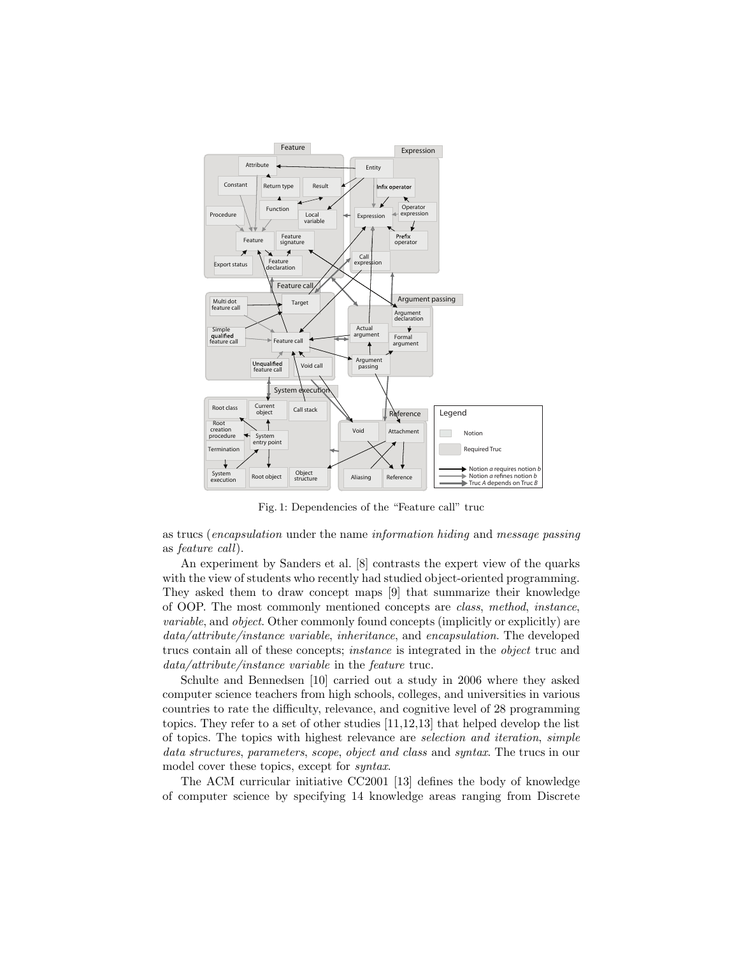

Fig. 1: Dependencies of the "Feature call" truc

as trucs (encapsulation under the name information hiding and message passing as feature call).

An experiment by Sanders et al. [8] contrasts the expert view of the quarks with the view of students who recently had studied object-oriented programming. They asked them to draw concept maps [9] that summarize their knowledge of OOP. The most commonly mentioned concepts are class, method, instance, variable, and object. Other commonly found concepts (implicitly or explicitly) are data/attribute/instance variable, inheritance, and encapsulation. The developed trucs contain all of these concepts; instance is integrated in the object truc and data/attribute/instance variable in the feature truc.

Schulte and Bennedsen [10] carried out a study in 2006 where they asked computer science teachers from high schools, colleges, and universities in various countries to rate the difficulty, relevance, and cognitive level of 28 programming topics. They refer to a set of other studies [11,12,13] that helped develop the list of topics. The topics with highest relevance are selection and iteration, simple data structures, parameters, scope, object and class and syntax. The trucs in our model cover these topics, except for syntax.

The ACM curricular initiative CC2001 [13] defines the body of knowledge of computer science by specifying 14 knowledge areas ranging from Discrete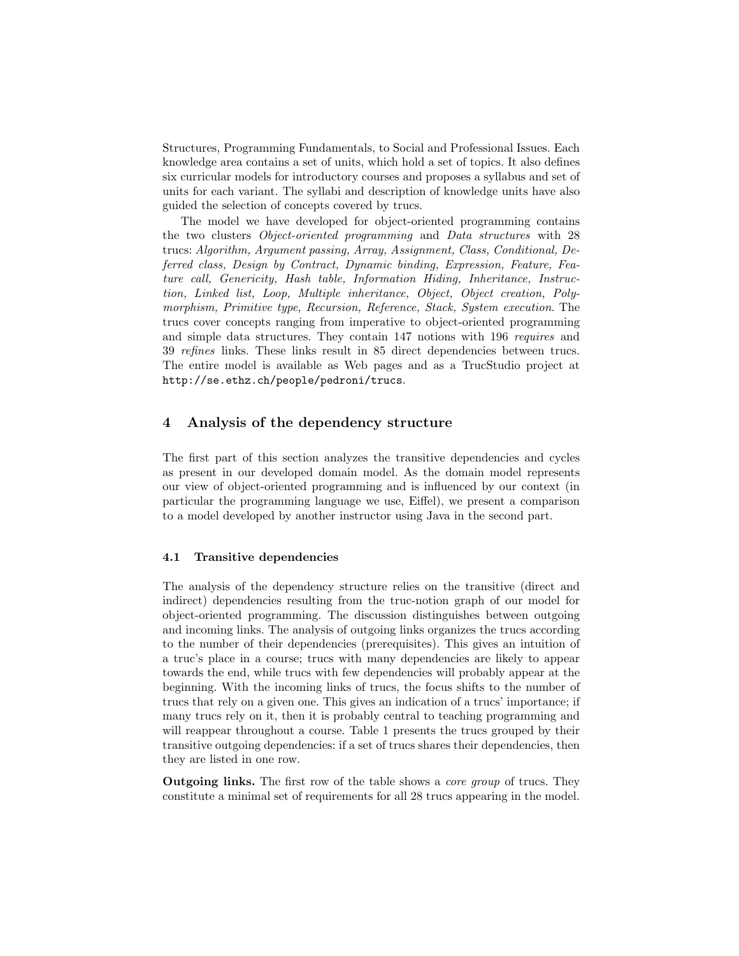Structures, Programming Fundamentals, to Social and Professional Issues. Each knowledge area contains a set of units, which hold a set of topics. It also defines six curricular models for introductory courses and proposes a syllabus and set of units for each variant. The syllabi and description of knowledge units have also guided the selection of concepts covered by trucs.

The model we have developed for object-oriented programming contains the two clusters Object-oriented programming and Data structures with 28 trucs: Algorithm, Argument passing, Array, Assignment, Class, Conditional, Deferred class, Design by Contract, Dynamic binding, Expression, Feature, Feature call, Genericity, Hash table, Information Hiding, Inheritance, Instruction, Linked list, Loop, Multiple inheritance, Object, Object creation, Polymorphism, Primitive type, Recursion, Reference, Stack, System execution. The trucs cover concepts ranging from imperative to object-oriented programming and simple data structures. They contain 147 notions with 196 requires and 39 refines links. These links result in 85 direct dependencies between trucs. The entire model is available as Web pages and as a TrucStudio project at http://se.ethz.ch/people/pedroni/trucs.

#### 4 Analysis of the dependency structure

The first part of this section analyzes the transitive dependencies and cycles as present in our developed domain model. As the domain model represents our view of object-oriented programming and is influenced by our context (in particular the programming language we use, Eiffel), we present a comparison to a model developed by another instructor using Java in the second part.

#### 4.1 Transitive dependencies

The analysis of the dependency structure relies on the transitive (direct and indirect) dependencies resulting from the truc-notion graph of our model for object-oriented programming. The discussion distinguishes between outgoing and incoming links. The analysis of outgoing links organizes the trucs according to the number of their dependencies (prerequisites). This gives an intuition of a truc's place in a course; trucs with many dependencies are likely to appear towards the end, while trucs with few dependencies will probably appear at the beginning. With the incoming links of trucs, the focus shifts to the number of trucs that rely on a given one. This gives an indication of a trucs' importance; if many trucs rely on it, then it is probably central to teaching programming and will reappear throughout a course. Table 1 presents the trucs grouped by their transitive outgoing dependencies: if a set of trucs shares their dependencies, then they are listed in one row.

Outgoing links. The first row of the table shows a *core group* of trucs. They constitute a minimal set of requirements for all 28 trucs appearing in the model.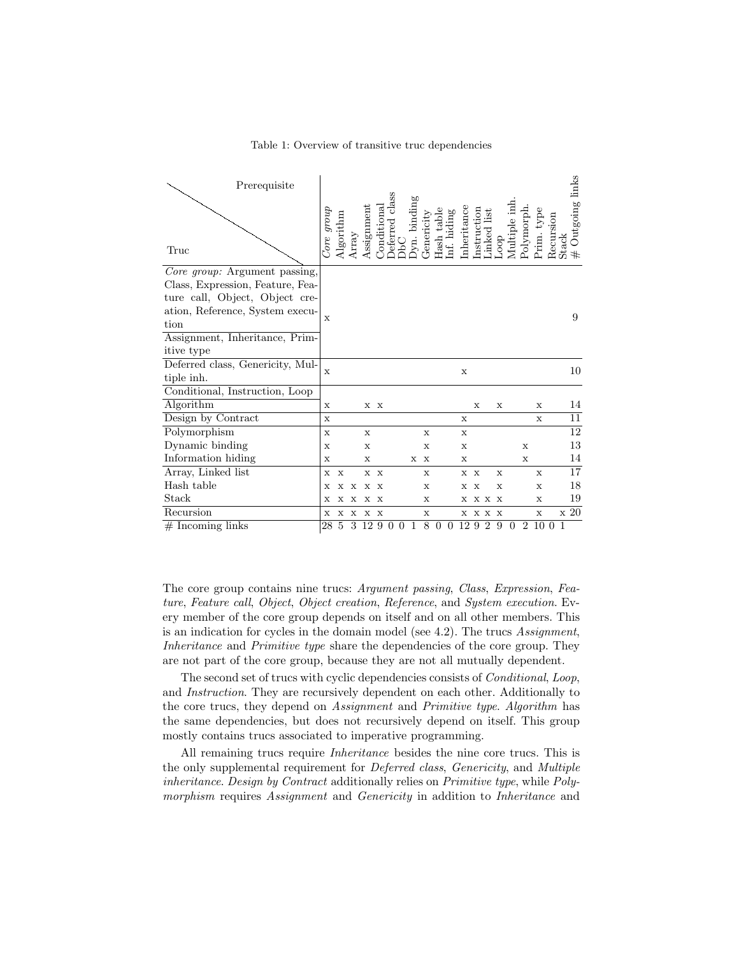Table 1: Overview of transitive truc dependencies

| Prerequisite<br>Truc             | ore group    | Algorithm    | Array        | ssignment                     | onditional | class<br>eferred |                | yn. binding | Fenericity  | Hash table     | Inf. hiding | Inheritance | Instruction    | list<br>inked  | door        | Multiple inh   | Polymorph   | Prim. type  | Recursion | <b>Stack</b> | Outgoing links<br># |
|----------------------------------|--------------|--------------|--------------|-------------------------------|------------|------------------|----------------|-------------|-------------|----------------|-------------|-------------|----------------|----------------|-------------|----------------|-------------|-------------|-----------|--------------|---------------------|
| Core group: Argument passing,    |              |              |              |                               |            |                  |                |             |             |                |             |             |                |                |             |                |             |             |           |              |                     |
| Class, Expression, Feature, Fea- |              |              |              |                               |            |                  |                |             |             |                |             |             |                |                |             |                |             |             |           |              |                     |
| ture call, Object, Object cre-   |              |              |              |                               |            |                  |                |             |             |                |             |             |                |                |             |                |             |             |           |              |                     |
| ation, Reference, System execu-  | $\mathbf{x}$ |              |              |                               |            |                  |                |             |             |                |             |             |                |                |             |                |             |             |           |              | 9                   |
| tion                             |              |              |              |                               |            |                  |                |             |             |                |             |             |                |                |             |                |             |             |           |              |                     |
| Assignment, Inheritance, Prim-   |              |              |              |                               |            |                  |                |             |             |                |             |             |                |                |             |                |             |             |           |              |                     |
| itive type                       |              |              |              |                               |            |                  |                |             |             |                |             |             |                |                |             |                |             |             |           |              |                     |
| Deferred class, Genericity, Mul- | $\mathbf x$  |              |              |                               |            |                  |                |             |             |                |             | $\mathbf x$ |                |                |             |                |             |             |           |              | 10                  |
| tiple inh.                       |              |              |              |                               |            |                  |                |             |             |                |             |             |                |                |             |                |             |             |           |              |                     |
| Conditional, Instruction, Loop   |              |              |              |                               |            |                  |                |             |             |                |             |             |                |                |             |                |             |             |           |              |                     |
| Algorithm                        | X            |              |              | $\mathbf{X} \quad \mathbf{X}$ |            |                  |                |             |             |                |             |             | $\mathbf x$    |                | $\mathbf x$ |                |             | X           |           |              | 14                  |
| Design by Contract               | $\mathbf x$  |              |              |                               |            |                  |                |             |             |                |             | $\mathbf x$ |                |                |             |                |             | $\mathbf x$ |           |              | 11                  |
| Polymorphism                     | $\mathbf x$  |              |              | $\mathbf x$                   |            |                  |                |             | $\mathbf x$ |                |             | $\mathbf x$ |                |                |             |                |             |             |           |              | 12                  |
| Dynamic binding                  | X            |              |              | X                             |            |                  |                |             | X           |                |             | $\mathbf x$ |                |                |             |                | $\mathbf x$ |             |           |              | 13                  |
| Information hiding               | X            |              |              | X                             |            |                  |                |             | X X         |                |             | $\mathbf x$ |                |                |             |                | X           |             |           |              | 14                  |
| Array, Linked list               | X            | $\mathbf{x}$ |              | X X                           |            |                  |                |             | $\mathbf x$ |                |             | X X         |                |                | $\mathbf x$ |                |             | $\mathbf x$ |           |              | 17                  |
| Hash table                       | X            | X            | $\mathbf{x}$ | X X                           |            |                  |                |             | $\mathbf x$ |                |             | X X         |                |                | $\mathbf x$ |                |             | $\mathbf x$ |           |              | 18                  |
| Stack                            | х            |              | X X          | X X                           |            |                  |                |             | X           |                |             |             | X X X X        |                |             |                |             | $\mathbf x$ |           |              | 19                  |
| Recursion                        | X            |              |              | X X X X                       |            |                  |                |             | $\mathbf x$ |                |             |             | <b>X X X X</b> |                |             |                |             | $\mathbf x$ |           | $\times 20$  |                     |
| $#$ Incoming links               | 28           | 5            |              | 3 12 9                        |            | $\theta$         | $\overline{0}$ | 1           | 8           | $\overline{0}$ | 0           | 129         |                | $\overline{2}$ | 9           | $\overline{0}$ |             | 2 10        | 0 1       |              |                     |

The core group contains nine trucs: Argument passing, Class, Expression, Feature, Feature call, Object, Object creation, Reference, and System execution. Every member of the core group depends on itself and on all other members. This is an indication for cycles in the domain model (see 4.2). The trucs Assignment, Inheritance and Primitive type share the dependencies of the core group. They

The second set of trucs with cyclic dependencies consists of Conditional, Loop, and Instruction. They are recursively dependent on each other. Additionally to the core trucs, they depend on Assignment and Primitive type. Algorithm has the same dependencies, but does not recursively depend on itself. This group mostly contains trucs associated to imperative programming.

are not part of the core group, because they are not all mutually dependent.

All remaining trucs require Inheritance besides the nine core trucs. This is the only supplemental requirement for Deferred class, Genericity, and Multiple inheritance. Design by Contract additionally relies on Primitive type, while Polymorphism requires Assignment and Genericity in addition to Inheritance and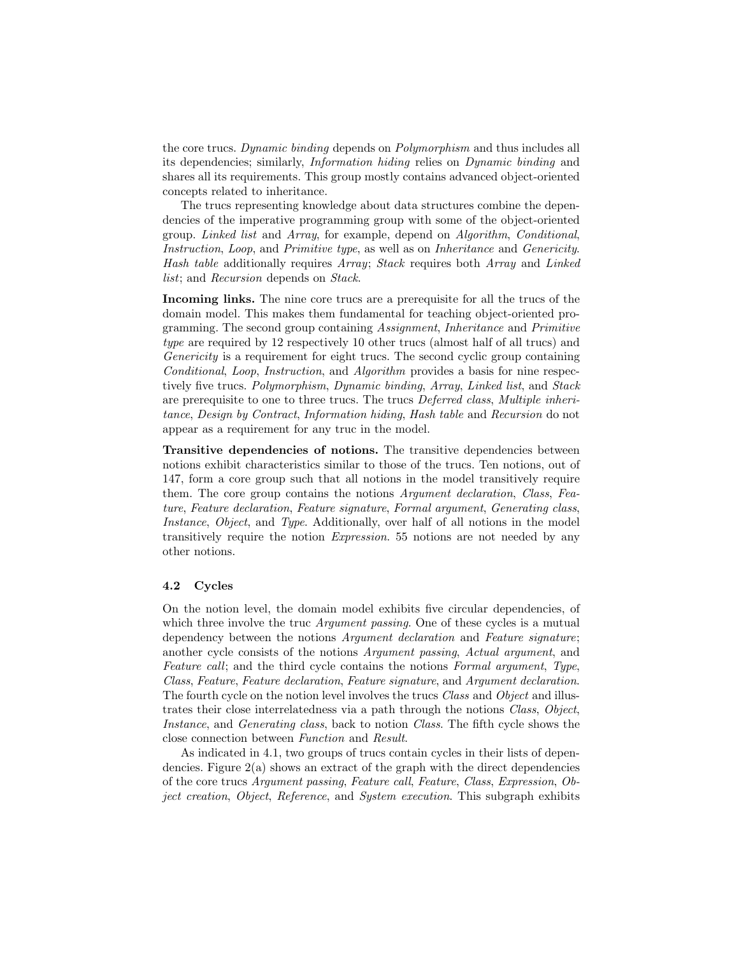the core trucs. Dynamic binding depends on Polymorphism and thus includes all its dependencies; similarly, Information hiding relies on Dynamic binding and shares all its requirements. This group mostly contains advanced object-oriented concepts related to inheritance.

The trucs representing knowledge about data structures combine the dependencies of the imperative programming group with some of the object-oriented group. Linked list and Array, for example, depend on Algorithm, Conditional, Instruction, Loop, and Primitive type, as well as on Inheritance and Genericity. Hash table additionally requires Array; Stack requires both Array and Linked list; and Recursion depends on Stack.

Incoming links. The nine core trucs are a prerequisite for all the trucs of the domain model. This makes them fundamental for teaching object-oriented programming. The second group containing Assignment, Inheritance and Primitive type are required by 12 respectively 10 other trucs (almost half of all trucs) and Genericity is a requirement for eight trucs. The second cyclic group containing Conditional, Loop, Instruction, and Algorithm provides a basis for nine respectively five trucs. Polymorphism, Dynamic binding, Array, Linked list, and Stack are prerequisite to one to three trucs. The trucs Deferred class, Multiple inheritance, Design by Contract, Information hiding, Hash table and Recursion do not appear as a requirement for any truc in the model.

Transitive dependencies of notions. The transitive dependencies between notions exhibit characteristics similar to those of the trucs. Ten notions, out of 147, form a core group such that all notions in the model transitively require them. The core group contains the notions Argument declaration, Class, Feature, Feature declaration, Feature signature, Formal argument, Generating class, Instance, Object, and Type. Additionally, over half of all notions in the model transitively require the notion Expression. 55 notions are not needed by any other notions.

#### 4.2 Cycles

On the notion level, the domain model exhibits five circular dependencies, of which three involve the truc *Argument passing*. One of these cycles is a mutual dependency between the notions *Argument declaration* and *Feature signature*; another cycle consists of the notions Argument passing, Actual argument, and Feature call; and the third cycle contains the notions Formal argument, Type, Class, Feature, Feature declaration, Feature signature, and Argument declaration. The fourth cycle on the notion level involves the trucs *Class* and *Object* and illustrates their close interrelatedness via a path through the notions Class, Object, Instance, and Generating class, back to notion Class. The fifth cycle shows the close connection between Function and Result.

As indicated in 4.1, two groups of trucs contain cycles in their lists of dependencies. Figure  $2(a)$  shows an extract of the graph with the direct dependencies of the core trucs Argument passing, Feature call, Feature, Class, Expression, Object creation, Object, Reference, and System execution. This subgraph exhibits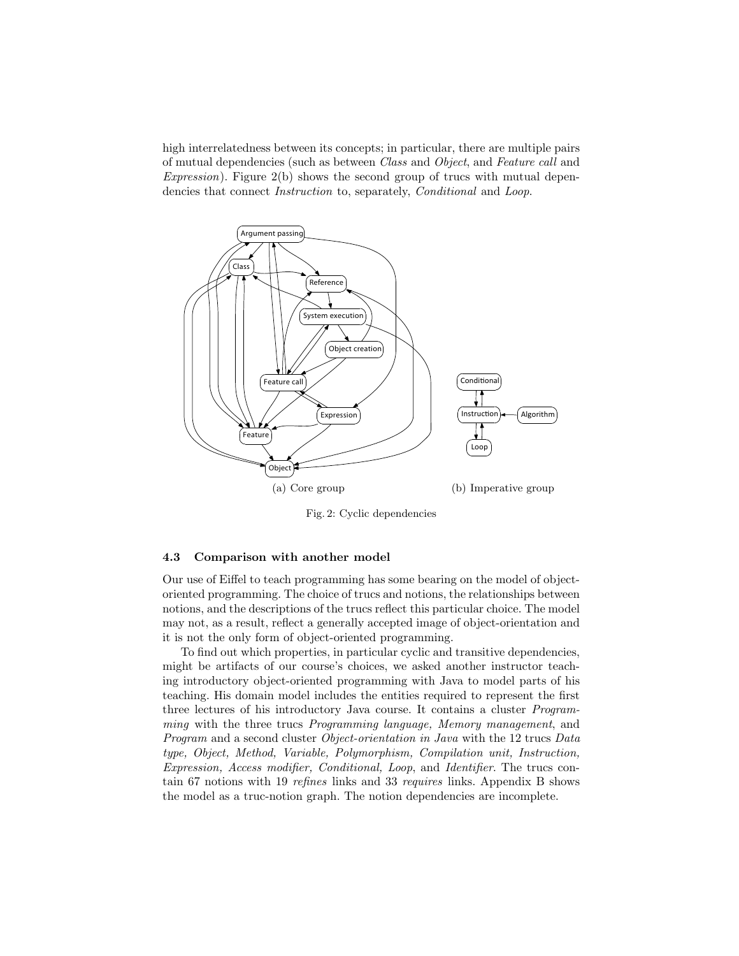high interrelatedness between its concepts; in particular, there are multiple pairs of mutual dependencies (such as between Class and Object, and Feature call and  $Expression$ ). Figure  $2(b)$  shows the second group of trucs with mutual dependencies that connect *Instruction* to, separately, *Conditional* and *Loop*.



Fig. 2: Cyclic dependencies

#### 4.3 Comparison with another model

Our use of Eiffel to teach programming has some bearing on the model of objectoriented programming. The choice of trucs and notions, the relationships between notions, and the descriptions of the trucs reflect this particular choice. The model may not, as a result, reflect a generally accepted image of object-orientation and it is not the only form of object-oriented programming.

To find out which properties, in particular cyclic and transitive dependencies, might be artifacts of our course's choices, we asked another instructor teaching introductory object-oriented programming with Java to model parts of his teaching. His domain model includes the entities required to represent the first three lectures of his introductory Java course. It contains a cluster Programming with the three trucs Programming language, Memory management, and Program and a second cluster Object-orientation in Java with the 12 trucs Data type, Object, Method, Variable, Polymorphism, Compilation unit, Instruction, Expression, Access modifier, Conditional, Loop, and Identifier. The trucs contain 67 notions with 19 refines links and 33 requires links. Appendix B shows the model as a truc-notion graph. The notion dependencies are incomplete.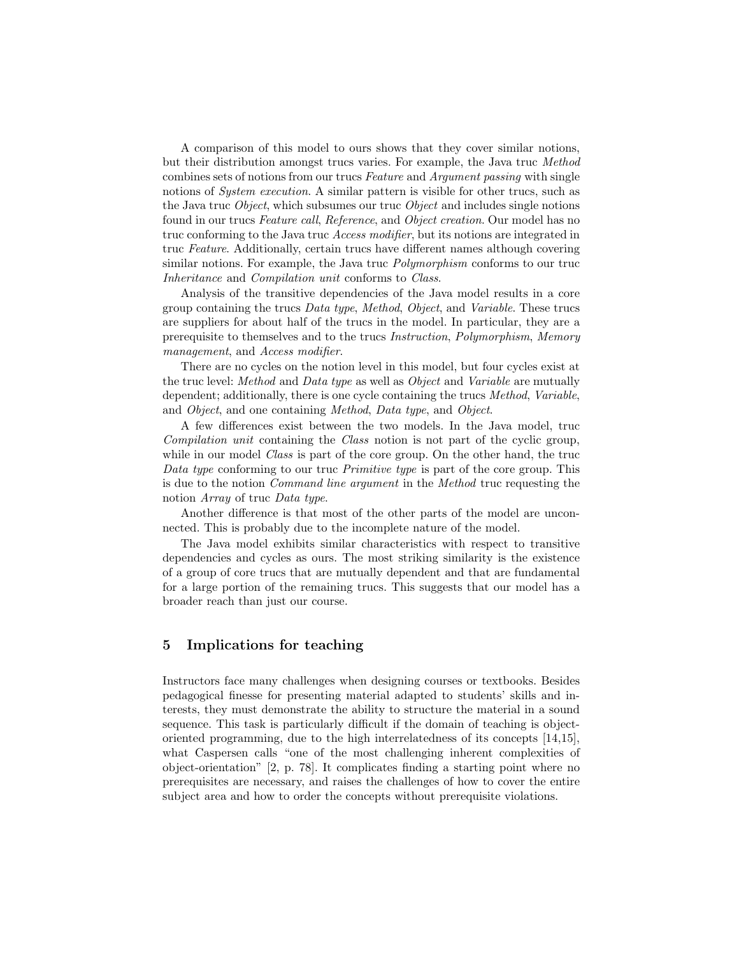A comparison of this model to ours shows that they cover similar notions, but their distribution amongst trucs varies. For example, the Java truc Method combines sets of notions from our trucs Feature and Argument passing with single notions of *System execution*. A similar pattern is visible for other trucs, such as the Java truc Object, which subsumes our truc Object and includes single notions found in our trucs Feature call, Reference, and Object creation. Our model has no truc conforming to the Java truc *Access modifier*, but its notions are integrated in truc Feature. Additionally, certain trucs have different names although covering similar notions. For example, the Java truc *Polymorphism* conforms to our truc Inheritance and Compilation unit conforms to Class.

Analysis of the transitive dependencies of the Java model results in a core group containing the trucs Data type, Method, Object, and Variable. These trucs are suppliers for about half of the trucs in the model. In particular, they are a prerequisite to themselves and to the trucs Instruction, Polymorphism, Memory management, and Access modifier.

There are no cycles on the notion level in this model, but four cycles exist at the truc level: *Method* and *Data type* as well as *Object* and *Variable* are mutually dependent; additionally, there is one cycle containing the trucs *Method, Variable*, and Object, and one containing Method, Data type, and Object.

A few differences exist between the two models. In the Java model, truc Compilation unit containing the Class notion is not part of the cyclic group, while in our model *Class* is part of the core group. On the other hand, the truc Data type conforming to our truc Primitive type is part of the core group. This is due to the notion Command line argument in the Method truc requesting the notion Array of truc Data type.

Another difference is that most of the other parts of the model are unconnected. This is probably due to the incomplete nature of the model.

The Java model exhibits similar characteristics with respect to transitive dependencies and cycles as ours. The most striking similarity is the existence of a group of core trucs that are mutually dependent and that are fundamental for a large portion of the remaining trucs. This suggests that our model has a broader reach than just our course.

## 5 Implications for teaching

Instructors face many challenges when designing courses or textbooks. Besides pedagogical finesse for presenting material adapted to students' skills and interests, they must demonstrate the ability to structure the material in a sound sequence. This task is particularly difficult if the domain of teaching is objectoriented programming, due to the high interrelatedness of its concepts [14,15], what Caspersen calls "one of the most challenging inherent complexities of object-orientation" [2, p. 78]. It complicates finding a starting point where no prerequisites are necessary, and raises the challenges of how to cover the entire subject area and how to order the concepts without prerequisite violations.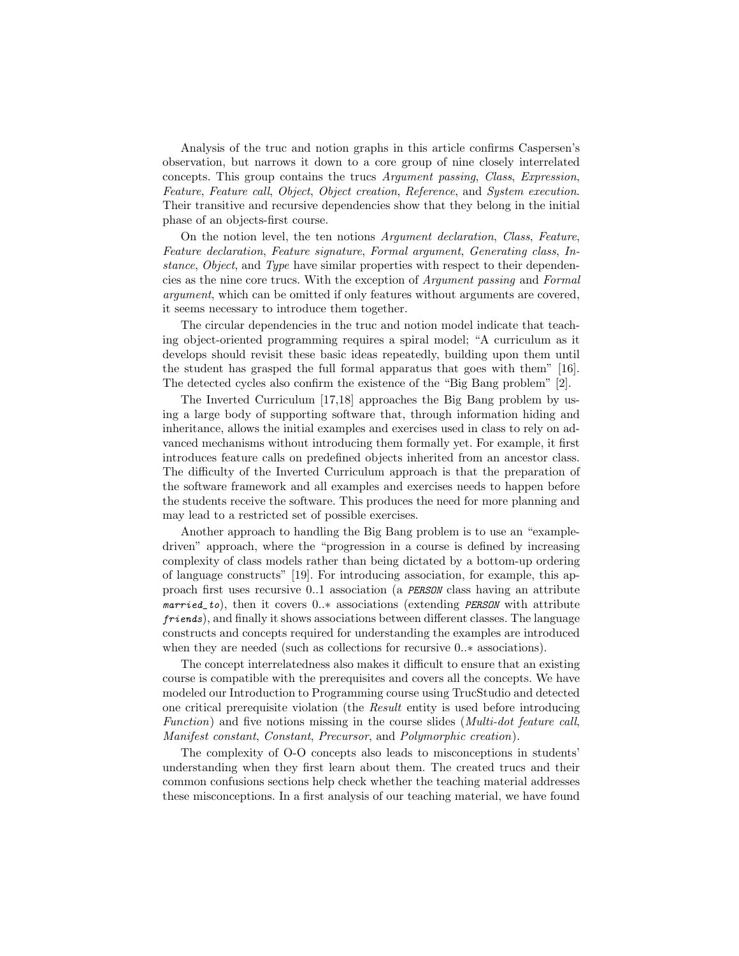Analysis of the truc and notion graphs in this article confirms Caspersen's observation, but narrows it down to a core group of nine closely interrelated concepts. This group contains the trucs Argument passing, Class, Expression, Feature, Feature call, Object, Object creation, Reference, and System execution. Their transitive and recursive dependencies show that they belong in the initial phase of an objects-first course.

On the notion level, the ten notions Argument declaration, Class, Feature, Feature declaration, Feature signature, Formal argument, Generating class, Instance, Object, and Type have similar properties with respect to their dependencies as the nine core trucs. With the exception of Argument passing and Formal argument, which can be omitted if only features without arguments are covered, it seems necessary to introduce them together.

The circular dependencies in the truc and notion model indicate that teaching object-oriented programming requires a spiral model; "A curriculum as it develops should revisit these basic ideas repeatedly, building upon them until the student has grasped the full formal apparatus that goes with them" [16]. The detected cycles also confirm the existence of the "Big Bang problem" [2].

The Inverted Curriculum [17,18] approaches the Big Bang problem by using a large body of supporting software that, through information hiding and inheritance, allows the initial examples and exercises used in class to rely on advanced mechanisms without introducing them formally yet. For example, it first introduces feature calls on predefined objects inherited from an ancestor class. The difficulty of the Inverted Curriculum approach is that the preparation of the software framework and all examples and exercises needs to happen before the students receive the software. This produces the need for more planning and may lead to a restricted set of possible exercises.

Another approach to handling the Big Bang problem is to use an "exampledriven" approach, where the "progression in a course is defined by increasing complexity of class models rather than being dictated by a bottom-up ordering of language constructs" [19]. For introducing association, for example, this approach first uses recursive 0..1 association (a PERSON class having an attribute  $\textit{married_to}$ , then it covers 0.. $*$  associations (extending PERSON with attribute friends), and finally it shows associations between different classes. The language constructs and concepts required for understanding the examples are introduced when they are needed (such as collections for recursive 0..∗ associations).

The concept interrelatedness also makes it difficult to ensure that an existing course is compatible with the prerequisites and covers all the concepts. We have modeled our Introduction to Programming course using TrucStudio and detected one critical prerequisite violation (the Result entity is used before introducing Function) and five notions missing in the course slides (*Multi-dot feature call*, Manifest constant, Constant, Precursor, and Polymorphic creation).

The complexity of O-O concepts also leads to misconceptions in students' understanding when they first learn about them. The created trucs and their common confusions sections help check whether the teaching material addresses these misconceptions. In a first analysis of our teaching material, we have found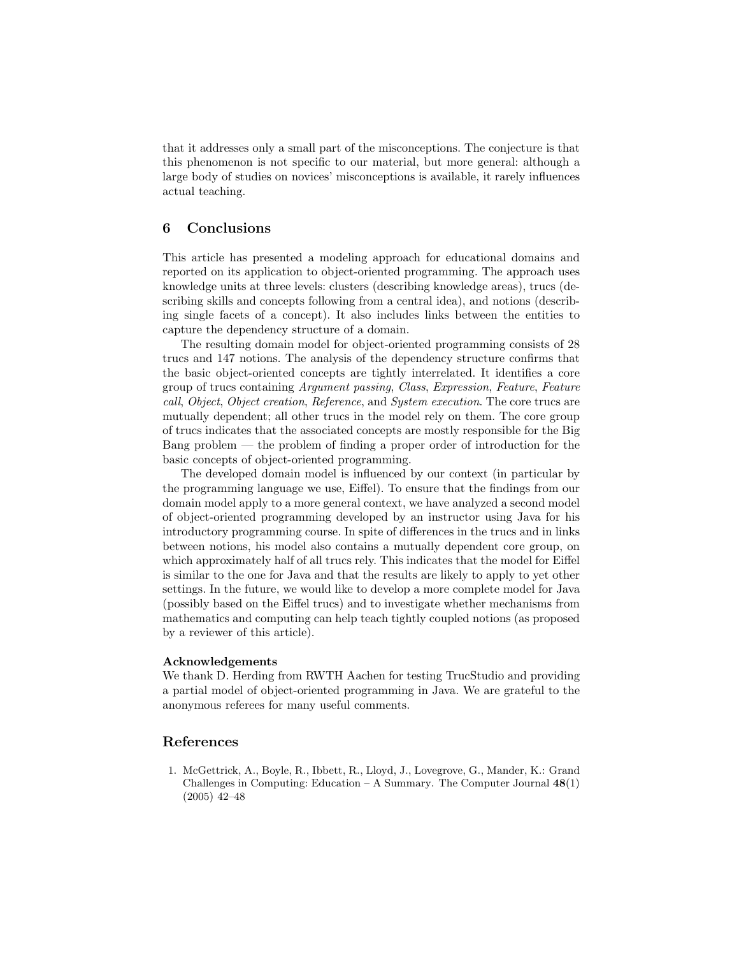that it addresses only a small part of the misconceptions. The conjecture is that this phenomenon is not specific to our material, but more general: although a large body of studies on novices' misconceptions is available, it rarely influences actual teaching.

## 6 Conclusions

This article has presented a modeling approach for educational domains and reported on its application to object-oriented programming. The approach uses knowledge units at three levels: clusters (describing knowledge areas), trucs (describing skills and concepts following from a central idea), and notions (describing single facets of a concept). It also includes links between the entities to capture the dependency structure of a domain.

The resulting domain model for object-oriented programming consists of 28 trucs and 147 notions. The analysis of the dependency structure confirms that the basic object-oriented concepts are tightly interrelated. It identifies a core group of trucs containing Argument passing, Class, Expression, Feature, Feature call, Object, Object creation, Reference, and System execution. The core trucs are mutually dependent; all other trucs in the model rely on them. The core group of trucs indicates that the associated concepts are mostly responsible for the Big Bang problem — the problem of finding a proper order of introduction for the basic concepts of object-oriented programming.

The developed domain model is influenced by our context (in particular by the programming language we use, Eiffel). To ensure that the findings from our domain model apply to a more general context, we have analyzed a second model of object-oriented programming developed by an instructor using Java for his introductory programming course. In spite of differences in the trucs and in links between notions, his model also contains a mutually dependent core group, on which approximately half of all trucs rely. This indicates that the model for Eiffel is similar to the one for Java and that the results are likely to apply to yet other settings. In the future, we would like to develop a more complete model for Java (possibly based on the Eiffel trucs) and to investigate whether mechanisms from mathematics and computing can help teach tightly coupled notions (as proposed by a reviewer of this article).

#### Acknowledgements

We thank D. Herding from RWTH Aachen for testing TrucStudio and providing a partial model of object-oriented programming in Java. We are grateful to the anonymous referees for many useful comments.

#### References

1. McGettrick, A., Boyle, R., Ibbett, R., Lloyd, J., Lovegrove, G., Mander, K.: Grand Challenges in Computing: Education – A Summary. The Computer Journal  $48(1)$ (2005) 42–48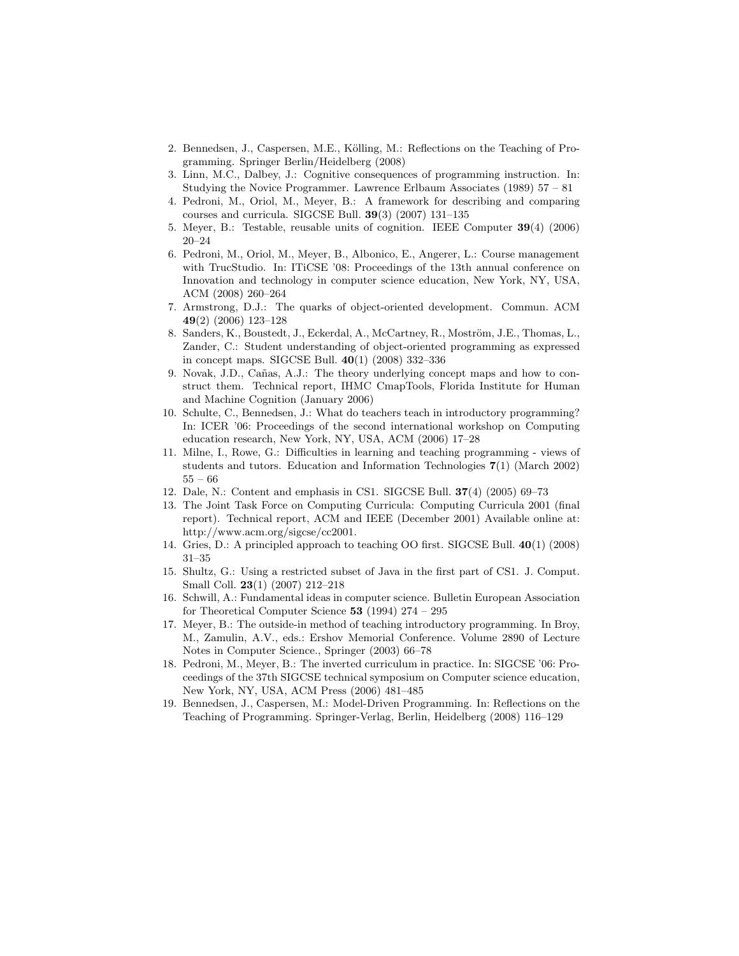- 2. Bennedsen, J., Caspersen, M.E., Kölling, M.: Reflections on the Teaching of Programming. Springer Berlin/Heidelberg (2008)
- 3. Linn, M.C., Dalbey, J.: Cognitive consequences of programming instruction. In: Studying the Novice Programmer. Lawrence Erlbaum Associates (1989) 57 – 81
- 4. Pedroni, M., Oriol, M., Meyer, B.: A framework for describing and comparing courses and curricula. SIGCSE Bull. 39(3) (2007) 131–135
- 5. Meyer, B.: Testable, reusable units of cognition. IEEE Computer 39(4) (2006) 20–24
- 6. Pedroni, M., Oriol, M., Meyer, B., Albonico, E., Angerer, L.: Course management with TrucStudio. In: ITiCSE '08: Proceedings of the 13th annual conference on Innovation and technology in computer science education, New York, NY, USA, ACM (2008) 260–264
- 7. Armstrong, D.J.: The quarks of object-oriented development. Commun. ACM 49(2) (2006) 123–128
- 8. Sanders, K., Boustedt, J., Eckerdal, A., McCartney, R., Moström, J.E., Thomas, L., Zander, C.: Student understanding of object-oriented programming as expressed in concept maps. SIGCSE Bull. 40(1) (2008) 332–336
- 9. Novak, J.D., Cañas, A.J.: The theory underlying concept maps and how to construct them. Technical report, IHMC CmapTools, Florida Institute for Human and Machine Cognition (January 2006)
- 10. Schulte, C., Bennedsen, J.: What do teachers teach in introductory programming? In: ICER '06: Proceedings of the second international workshop on Computing education research, New York, NY, USA, ACM (2006) 17–28
- 11. Milne, I., Rowe, G.: Difficulties in learning and teaching programming views of students and tutors. Education and Information Technologies 7(1) (March 2002)  $55 - 66$
- 12. Dale, N.: Content and emphasis in CS1. SIGCSE Bull. 37(4) (2005) 69–73
- 13. The Joint Task Force on Computing Curricula: Computing Curricula 2001 (final report). Technical report, ACM and IEEE (December 2001) Available online at: http://www.acm.org/sigcse/cc2001.
- 14. Gries, D.: A principled approach to teaching OO first. SIGCSE Bull. 40(1) (2008) 31–35
- 15. Shultz, G.: Using a restricted subset of Java in the first part of CS1. J. Comput. Small Coll. 23(1) (2007) 212–218
- 16. Schwill, A.: Fundamental ideas in computer science. Bulletin European Association for Theoretical Computer Science  $53$  (1994) 274 – 295
- 17. Meyer, B.: The outside-in method of teaching introductory programming. In Broy, M., Zamulin, A.V., eds.: Ershov Memorial Conference. Volume 2890 of Lecture Notes in Computer Science., Springer (2003) 66–78
- 18. Pedroni, M., Meyer, B.: The inverted curriculum in practice. In: SIGCSE '06: Proceedings of the 37th SIGCSE technical symposium on Computer science education, New York, NY, USA, ACM Press (2006) 481–485
- 19. Bennedsen, J., Caspersen, M.: Model-Driven Programming. In: Reflections on the Teaching of Programming. Springer-Verlag, Berlin, Heidelberg (2008) 116–129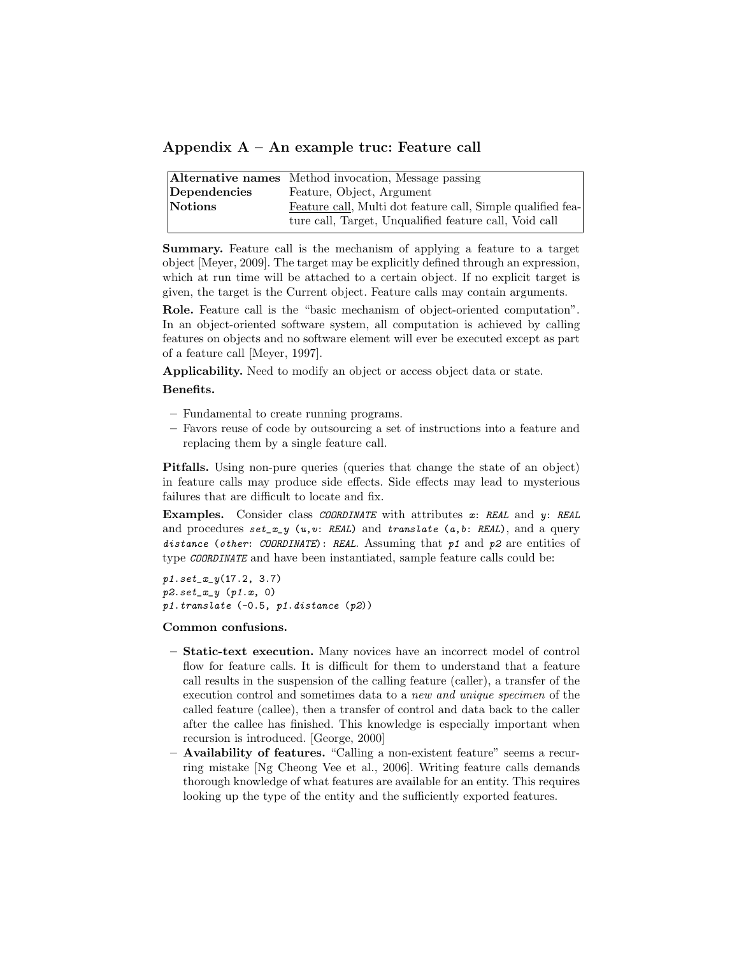## Appendix A – An example truc: Feature call

|              | <b>Alternative names</b> Method invocation, Message passing |
|--------------|-------------------------------------------------------------|
| Dependencies | Feature, Object, Argument                                   |
| Notions      | Feature call, Multi dot feature call, Simple qualified fea- |
|              | ture call, Target, Unqualified feature call, Void call      |

Summary. Feature call is the mechanism of applying a feature to a target object [Meyer, 2009]. The target may be explicitly defined through an expression, which at run time will be attached to a certain object. If no explicit target is given, the target is the Current object. Feature calls may contain arguments.

Role. Feature call is the "basic mechanism of object-oriented computation". In an object-oriented software system, all computation is achieved by calling features on objects and no software element will ever be executed except as part of a feature call [Meyer, 1997].

Applicability. Need to modify an object or access object data or state.

#### Benefits.

- Fundamental to create running programs.
- Favors reuse of code by outsourcing a set of instructions into a feature and replacing them by a single feature call.

Pitfalls. Using non-pure queries (queries that change the state of an object) in feature calls may produce side effects. Side effects may lead to mysterious failures that are difficult to locate and fix.

Examples. Consider class COORDINATE with attributes x: REAL and y: REAL and procedures  $set_x_y$  (*u*,*v*: REAL) and *translate* (*a*,*b*: REAL), and a query distance (other: COORDINATE): REAL. Assuming that  $p1$  and  $p2$  are entities of type COORDINATE and have been instantiated, sample feature calls could be:

 $p1.set_{x,y}(17.2, 3.7)$  $p2.set_{x,y} (p1.x, 0)$ p1.translate (-0.5, p1.distance (p2))

#### Common confusions.

- Static-text execution. Many novices have an incorrect model of control flow for feature calls. It is difficult for them to understand that a feature call results in the suspension of the calling feature (caller), a transfer of the execution control and sometimes data to a new and unique specimen of the called feature (callee), then a transfer of control and data back to the caller after the callee has finished. This knowledge is especially important when recursion is introduced. [George, 2000]
- Availability of features. "Calling a non-existent feature" seems a recurring mistake [Ng Cheong Vee et al., 2006]. Writing feature calls demands thorough knowledge of what features are available for an entity. This requires looking up the type of the entity and the sufficiently exported features.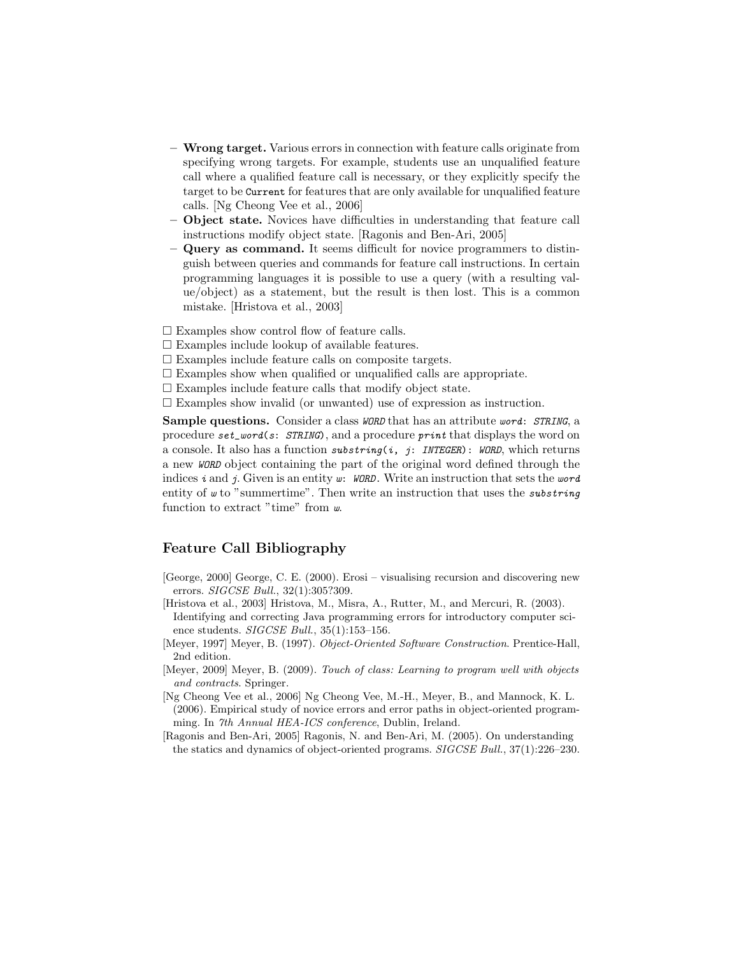- Wrong target. Various errors in connection with feature calls originate from specifying wrong targets. For example, students use an unqualified feature call where a qualified feature call is necessary, or they explicitly specify the target to be Current for features that are only available for unqualified feature calls. [Ng Cheong Vee et al., 2006]
- Object state. Novices have difficulties in understanding that feature call instructions modify object state. [Ragonis and Ben-Ari, 2005]
- Query as command. It seems difficult for novice programmers to distinguish between queries and commands for feature call instructions. In certain programming languages it is possible to use a query (with a resulting value/object) as a statement, but the result is then lost. This is a common mistake. [Hristova et al., 2003]

 $\square$  Examples show control flow of feature calls.

 $\square$  Examples include lookup of available features.

- $\square$  Examples include feature calls on composite targets.
- $\square$  Examples show when qualified or unqualified calls are appropriate.
- $\square$  Examples include feature calls that modify object state.
- $\square$  Examples show invalid (or unwanted) use of expression as instruction.

Sample questions. Consider a class WORD that has an attribute word: STRING, a procedure set\_word(s: STRING), and a procedure print that displays the word on a console. It also has a function  $substring(i, j: INTERB): WORD$ , which returns a new WORD object containing the part of the original word defined through the indices i and j. Given is an entity w: WORD. Write an instruction that sets the word entity of  $\psi$  to "summertime". Then write an instruction that uses the *substring* function to extract "time" from w.

## Feature Call Bibliography

- [George, 2000] George, C. E. (2000). Erosi visualising recursion and discovering new errors. SIGCSE Bull., 32(1):305?309.
- [Hristova et al., 2003] Hristova, M., Misra, A., Rutter, M., and Mercuri, R. (2003). Identifying and correcting Java programming errors for introductory computer science students. SIGCSE Bull., 35(1):153-156.
- [Meyer, 1997] Meyer, B. (1997). Object-Oriented Software Construction. Prentice-Hall, 2nd edition.
- [Meyer, 2009] Meyer, B. (2009). Touch of class: Learning to program well with objects and contracts. Springer.
- [Ng Cheong Vee et al., 2006] Ng Cheong Vee, M.-H., Meyer, B., and Mannock, K. L. (2006). Empirical study of novice errors and error paths in object-oriented programming. In 7th Annual HEA-ICS conference, Dublin, Ireland.
- [Ragonis and Ben-Ari, 2005] Ragonis, N. and Ben-Ari, M. (2005). On understanding the statics and dynamics of object-oriented programs. SIGCSE Bull., 37(1):226–230.